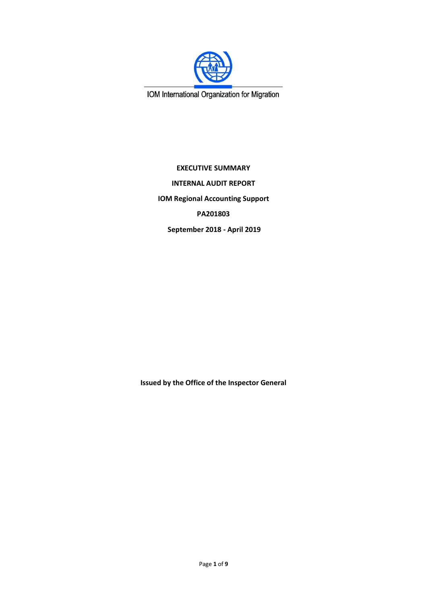

IOM International Organization for Migration

**EXECUTIVE SUMMARY INTERNAL AUDIT REPORT IOM Regional Accounting Support PA201803 September 2018 - April 2019** 

**Issued by the Office of the Inspector General**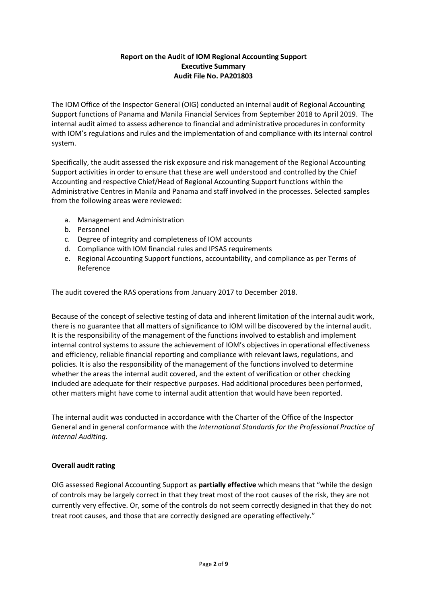# **Report on the Audit of IOM Regional Accounting Support Executive Summary Audit File No. PA201803**

The IOM Office of the Inspector General (OIG) conducted an internal audit of Regional Accounting Support functions of Panama and Manila Financial Services from September 2018 to April 2019. The internal audit aimed to assess adherence to financial and administrative procedures in conformity with IOM's regulations and rules and the implementation of and compliance with its internal control system.

Specifically, the audit assessed the risk exposure and risk management of the Regional Accounting Support activities in order to ensure that these are well understood and controlled by the Chief Accounting and respective Chief/Head of Regional Accounting Support functions within the Administrative Centres in Manila and Panama and staff involved in the processes. Selected samples from the following areas were reviewed:

- a. Management and Administration
- b. Personnel
- c. Degree of integrity and completeness of IOM accounts
- d. Compliance with IOM financial rules and IPSAS requirements
- e. Regional Accounting Support functions, accountability, and compliance as per Terms of Reference

The audit covered the RAS operations from January 2017 to December 2018.

Because of the concept of selective testing of data and inherent limitation of the internal audit work, there is no guarantee that all matters of significance to IOM will be discovered by the internal audit. It is the responsibility of the management of the functions involved to establish and implement internal control systems to assure the achievement of IOM's objectives in operational effectiveness and efficiency, reliable financial reporting and compliance with relevant laws, regulations, and policies. It is also the responsibility of the management of the functions involved to determine whether the areas the internal audit covered, and the extent of verification or other checking included are adequate for their respective purposes. Had additional procedures been performed, other matters might have come to internal audit attention that would have been reported.

The internal audit was conducted in accordance with the Charter of the Office of the Inspector General and in general conformance with the *International Standards for the Professional Practice of Internal Auditing.*

#### **Overall audit rating**

OIG assessed Regional Accounting Support as **partially effective** which means that "while the design of controls may be largely correct in that they treat most of the root causes of the risk, they are not currently very effective. Or, some of the controls do not seem correctly designed in that they do not treat root causes, and those that are correctly designed are operating effectively."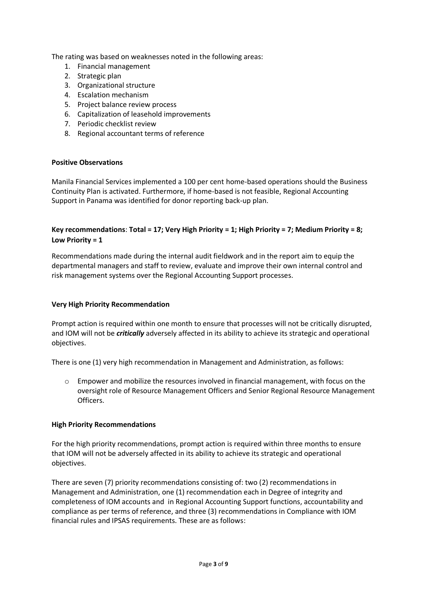The rating was based on weaknesses noted in the following areas:

- 1. Financial management
- 2. Strategic plan
- 3. Organizational structure
- 4. Escalation mechanism
- 5. Project balance review process
- 6. Capitalization of leasehold improvements
- 7. Periodic checklist review
- 8. Regional accountant terms of reference

#### **Positive Observations**

Manila Financial Services implemented a 100 per cent home-based operations should the Business Continuity Plan is activated. Furthermore, if home-based is not feasible, Regional Accounting Support in Panama was identified for donor reporting back-up plan.

## **Key recommendations**: **Total = 17; Very High Priority = 1; High Priority = 7; Medium Priority = 8; Low Priority = 1**

Recommendations made during the internal audit fieldwork and in the report aim to equip the departmental managers and staff to review, evaluate and improve their own internal control and risk management systems over the Regional Accounting Support processes.

#### **Very High Priority Recommendation**

Prompt action is required within one month to ensure that processes will not be critically disrupted, and IOM will not be *critically* adversely affected in its ability to achieve its strategic and operational objectives.

There is one (1) very high recommendation in Management and Administration, as follows:

 $\circ$  Empower and mobilize the resources involved in financial management, with focus on the oversight role of Resource Management Officers and Senior Regional Resource Management Officers.

#### **High Priority Recommendations**

For the high priority recommendations, prompt action is required within three months to ensure that IOM will not be adversely affected in its ability to achieve its strategic and operational objectives.

There are seven (7) priority recommendations consisting of: two (2) recommendations in Management and Administration, one (1) recommendation each in Degree of integrity and completeness of IOM accounts and in Regional Accounting Support functions, accountability and compliance as per terms of reference, and three (3) recommendations in Compliance with IOM financial rules and IPSAS requirements. These are as follows: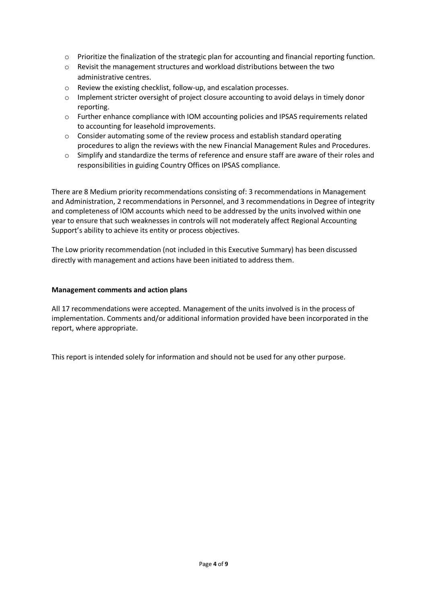- o Prioritize the finalization of the strategic plan for accounting and financial reporting function.
- o Revisit the management structures and workload distributions between the two administrative centres.
- o Review the existing checklist, follow-up, and escalation processes.
- $\circ$  Implement stricter oversight of project closure accounting to avoid delays in timely donor reporting.
- o Further enhance compliance with IOM accounting policies and IPSAS requirements related to accounting for leasehold improvements.
- o Consider automating some of the review process and establish standard operating procedures to align the reviews with the new Financial Management Rules and Procedures.
- o Simplify and standardize the terms of reference and ensure staff are aware of their roles and responsibilities in guiding Country Offices on IPSAS compliance.

There are 8 Medium priority recommendations consisting of: 3 recommendations in Management and Administration, 2 recommendations in Personnel, and 3 recommendations in Degree of integrity and completeness of IOM accounts which need to be addressed by the units involved within one year to ensure that such weaknesses in controls will not moderately affect Regional Accounting Support's ability to achieve its entity or process objectives.

The Low priority recommendation (not included in this Executive Summary) has been discussed directly with management and actions have been initiated to address them.

### **Management comments and action plans**

All 17 recommendations were accepted. Management of the units involved is in the process of implementation. Comments and/or additional information provided have been incorporated in the report, where appropriate.

This report is intended solely for information and should not be used for any other purpose.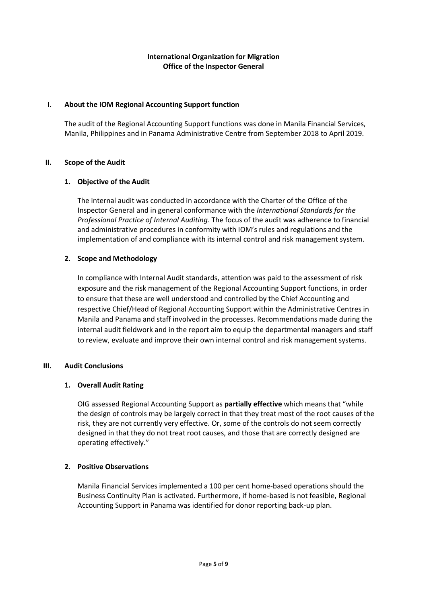## **International Organization for Migration Office of the Inspector General**

### **I. About the IOM Regional Accounting Support function**

The audit of the Regional Accounting Support functions was done in Manila Financial Services, Manila, Philippines and in Panama Administrative Centre from September 2018 to April 2019.

### **II. Scope of the Audit**

### **1. Objective of the Audit**

The internal audit was conducted in accordance with the Charter of the Office of the Inspector General and in general conformance with the *International Standards for the Professional Practice of Internal Auditing.* The focus of the audit was adherence to financial and administrative procedures in conformity with IOM's rules and regulations and the implementation of and compliance with its internal control and risk management system.

### **2. Scope and Methodology**

In compliance with Internal Audit standards, attention was paid to the assessment of risk exposure and the risk management of the Regional Accounting Support functions, in order to ensure that these are well understood and controlled by the Chief Accounting and respective Chief/Head of Regional Accounting Support within the Administrative Centres in Manila and Panama and staff involved in the processes. Recommendations made during the internal audit fieldwork and in the report aim to equip the departmental managers and staff to review, evaluate and improve their own internal control and risk management systems.

#### **III. Audit Conclusions**

## **1. Overall Audit Rating**

OIG assessed Regional Accounting Support as **partially effective** which means that "while the design of controls may be largely correct in that they treat most of the root causes of the risk, they are not currently very effective. Or, some of the controls do not seem correctly designed in that they do not treat root causes, and those that are correctly designed are operating effectively."

## **2. Positive Observations**

Manila Financial Services implemented a 100 per cent home-based operations should the Business Continuity Plan is activated. Furthermore, if home-based is not feasible, Regional Accounting Support in Panama was identified for donor reporting back-up plan.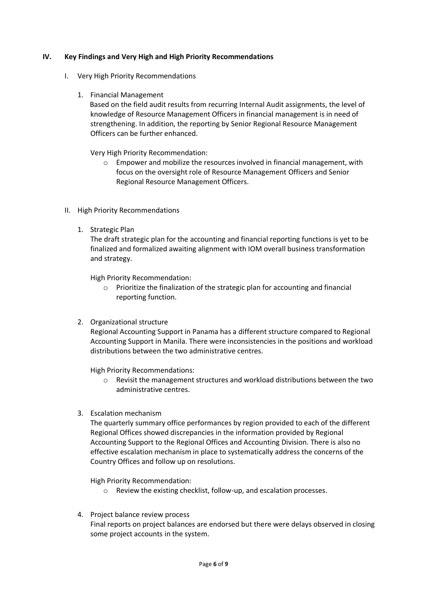### **IV. Key Findings and Very High and High Priority Recommendations**

- I. Very High Priority Recommendations
	- 1. Financial Management

 Based on the field audit results from recurring Internal Audit assignments, the level of knowledge of Resource Management Officers in financial management is in need of strengthening. In addition, the reporting by Senior Regional Resource Management Officers can be further enhanced.

Very High Priority Recommendation:

- $\circ$  Empower and mobilize the resources involved in financial management, with focus on the oversight role of Resource Management Officers and Senior Regional Resource Management Officers.
- II. High Priority Recommendations
	- 1. Strategic Plan

The draft strategic plan for the accounting and financial reporting functions is yet to be finalized and formalized awaiting alignment with IOM overall business transformation and strategy.

High Priority Recommendation:

- $\circ$  Prioritize the finalization of the strategic plan for accounting and financial reporting function.
- 2. Organizational structure

Regional Accounting Support in Panama has a different structure compared to Regional Accounting Support in Manila. There were inconsistencies in the positions and workload distributions between the two administrative centres.

High Priority Recommendations:

- $\circ$  Revisit the management structures and workload distributions between the two administrative centres.
- 3. Escalation mechanism

The quarterly summary office performances by region provided to each of the different Regional Offices showed discrepancies in the information provided by Regional Accounting Support to the Regional Offices and Accounting Division. There is also no effective escalation mechanism in place to systematically address the concerns of the Country Offices and follow up on resolutions.

High Priority Recommendation:

- o Review the existing checklist, follow-up, and escalation processes.
- 4. Project balance review process Final reports on project balances are endorsed but there were delays observed in closing some project accounts in the system.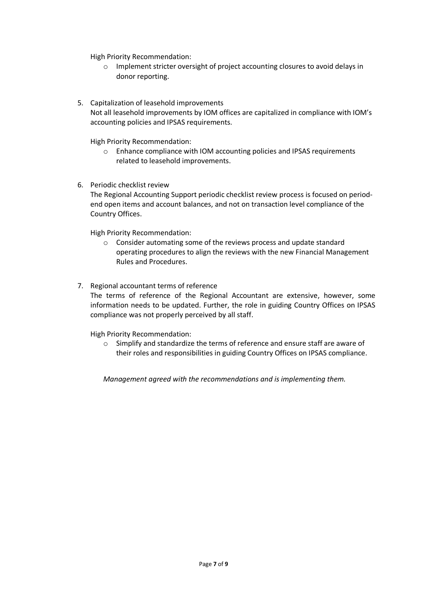High Priority Recommendation:

- o Implement stricter oversight of project accounting closures to avoid delays in donor reporting.
- 5. Capitalization of leasehold improvements Not all leasehold improvements by IOM offices are capitalized in compliance with IOM's accounting policies and IPSAS requirements.

High Priority Recommendation:

- o Enhance compliance with IOM accounting policies and IPSAS requirements related to leasehold improvements.
- 6. Periodic checklist review

The Regional Accounting Support periodic checklist review process is focused on periodend open items and account balances, and not on transaction level compliance of the Country Offices.

High Priority Recommendation:

- o Consider automating some of the reviews process and update standard operating procedures to align the reviews with the new Financial Management Rules and Procedures.
- 7. Regional accountant terms of reference

The terms of reference of the Regional Accountant are extensive, however, some information needs to be updated. Further, the role in guiding Country Offices on IPSAS compliance was not properly perceived by all staff.

High Priority Recommendation:

o Simplify and standardize the terms of reference and ensure staff are aware of their roles and responsibilities in guiding Country Offices on IPSAS compliance.

*Management agreed with the recommendations and is implementing them.*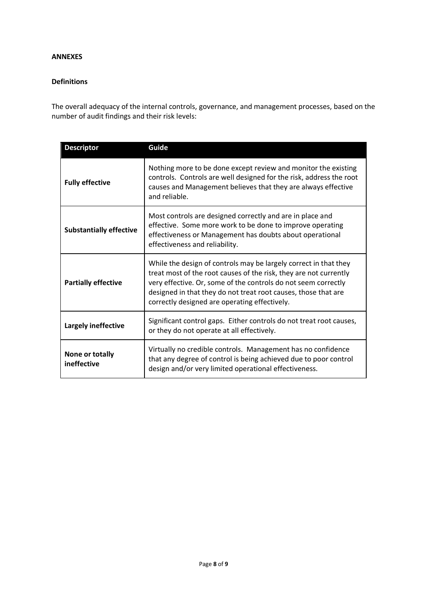#### **ANNEXES**

### **Definitions**

The overall adequacy of the internal controls, governance, and management processes, based on the number of audit findings and their risk levels:

| <b>Descriptor</b>                                                                                                                                                                                                                                                                                                                                        | Guide                                                                                                                                                                                                                   |  |
|----------------------------------------------------------------------------------------------------------------------------------------------------------------------------------------------------------------------------------------------------------------------------------------------------------------------------------------------------------|-------------------------------------------------------------------------------------------------------------------------------------------------------------------------------------------------------------------------|--|
| <b>Fully effective</b>                                                                                                                                                                                                                                                                                                                                   | Nothing more to be done except review and monitor the existing<br>controls. Controls are well designed for the risk, address the root<br>causes and Management believes that they are always effective<br>and reliable. |  |
| <b>Substantially effective</b>                                                                                                                                                                                                                                                                                                                           | Most controls are designed correctly and are in place and<br>effective. Some more work to be done to improve operating<br>effectiveness or Management has doubts about operational<br>effectiveness and reliability.    |  |
| While the design of controls may be largely correct in that they<br>treat most of the root causes of the risk, they are not currently<br><b>Partially effective</b><br>very effective. Or, some of the controls do not seem correctly<br>designed in that they do not treat root causes, those that are<br>correctly designed are operating effectively. |                                                                                                                                                                                                                         |  |
| Largely ineffective                                                                                                                                                                                                                                                                                                                                      | Significant control gaps. Either controls do not treat root causes,<br>or they do not operate at all effectively.                                                                                                       |  |
| Virtually no credible controls. Management has no confidence<br>None or totally<br>that any degree of control is being achieved due to poor control<br>ineffective<br>design and/or very limited operational effectiveness.                                                                                                                              |                                                                                                                                                                                                                         |  |